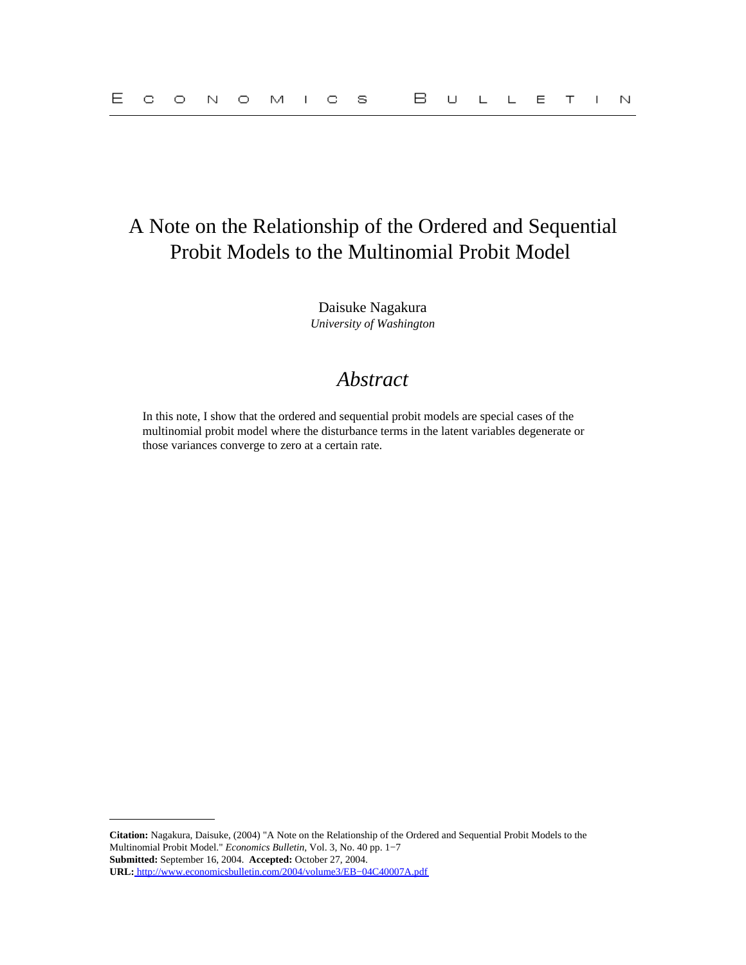# A Note on the Relationship of the Ordered and Sequential Probit Models to the Multinomial Probit Model

Daisuke Nagakura *University of Washington*

## *Abstract*

In this note, I show that the ordered and sequential probit models are special cases of the multinomial probit model where the disturbance terms in the latent variables degenerate or those variances converge to zero at a certain rate.

**Citation:** Nagakura, Daisuke, (2004) "A Note on the Relationship of the Ordered and Sequential Probit Models to the Multinomial Probit Model." *Economics Bulletin,* Vol. 3, No. 40 pp. 1−7 **Submitted:** September 16, 2004. **Accepted:** October 27, 2004. **URL:** [http://www.economicsbulletin.com/2004/volume3/EB−04C40007A.pdf](http://www.economicsbulletin.com/2004/volume3/EB-04C40007A.pdf)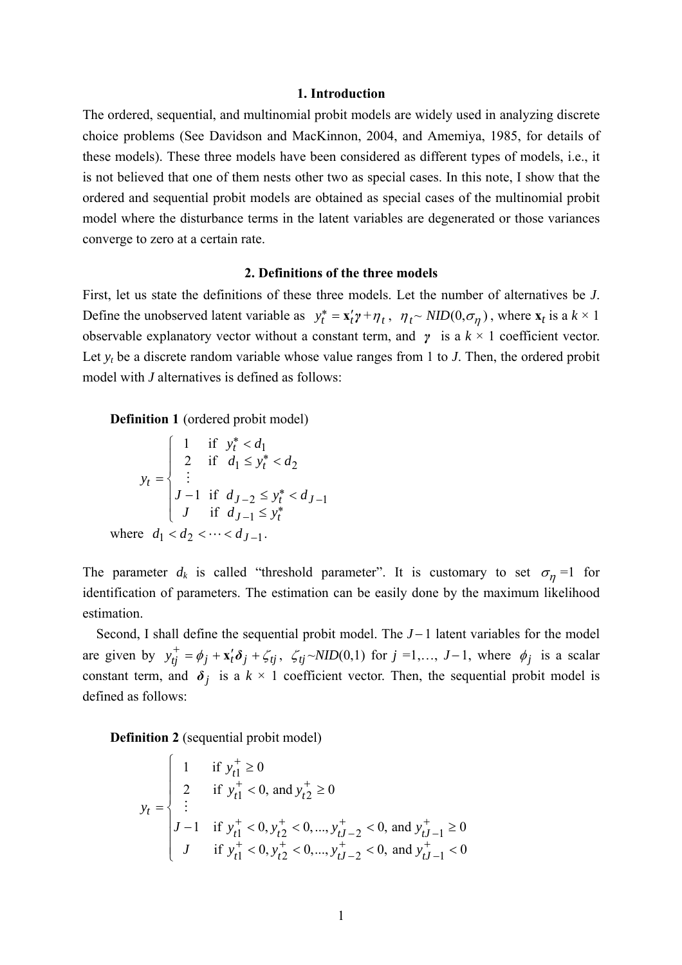#### **1. Introduction**

The ordered, sequential, and multinomial probit models are widely used in analyzing discrete choice problems (See Davidson and MacKinnon, 2004, and Amemiya, 1985, for details of these models). These three models have been considered as different types of models, i.e., it is not believed that one of them nests other two as special cases. In this note, I show that the ordered and sequential probit models are obtained as special cases of the multinomial probit model where the disturbance terms in the latent variables are degenerated or those variances converge to zero at a certain rate.

#### **2. Definitions of the three models**

First, let us state the definitions of these three models. Let the number of alternatives be *J*. Define the unobserved latent variable as  $y_t^* = \mathbf{x}'_t \mathbf{y} + \eta_t$ ,  $\eta_t \sim \text{NID}(0, \sigma_\eta)$ , where  $\mathbf{x}_t$  is a  $k \times 1$ observable explanatory vector without a constant term, and *γ* is a *k* × 1 coefficient vector. Let  $y_t$  be a discrete random variable whose value ranges from 1 to *J*. Then, the ordered probit model with *J* alternatives is defined as follows:

**Definition 1** (ordered probit model)

$$
y_t = \begin{cases} 1 & \text{if } y_t^* < d_1 \\ 2 & \text{if } d_1 \le y_t^* < d_2 \\ \vdots \\ J - 1 & \text{if } d_{J-2} \le y_t^* < d_{J-1} \\ J & \text{if } d_{J-1} \le y_t^* \end{cases}
$$
  
where  $d_1 < d_2 < \dots < d_{J-1}$ .

The parameter  $d_k$  is called "threshold parameter". It is customary to set  $\sigma_{\eta} = 1$  for identification of parameters. The estimation can be easily done by the maximum likelihood estimation.

Second, I shall define the sequential probit model. The *J* − 1 latent variables for the model are given by  $y_{tj}^{+} = \phi_j + x_t' \delta_j + \zeta_{tj}$ ,  $\zeta_{tj} \sim NID(0,1)$  for  $j = 1,..., J-1$ , where  $\phi_j$  is a scalar constant term, and  $\delta$ <sup>*j*</sup> is a  $k \times 1$  coefficient vector. Then, the sequential probit model is defined as follows:

**Definition 2** (sequential probit model)

$$
y_t = \begin{cases} 1 & \text{if } y_{t1}^+ \ge 0 \\ 2 & \text{if } y_{t1}^+ < 0 \text{, and } y_{t2}^+ \ge 0 \\ \vdots \\ J - 1 & \text{if } y_{t1}^+ < 0 \text{, } y_{t2}^+ < 0 \text{, ..., } y_{tJ-2}^+ < 0 \text{, and } y_{tJ-1}^+ \ge 0 \\ J & \text{if } y_{t1}^+ < 0 \text{, } y_{t2}^+ < 0 \text{, ..., } y_{tJ-2}^+ < 0 \text{, and } y_{tJ-1}^+ < 0 \end{cases}
$$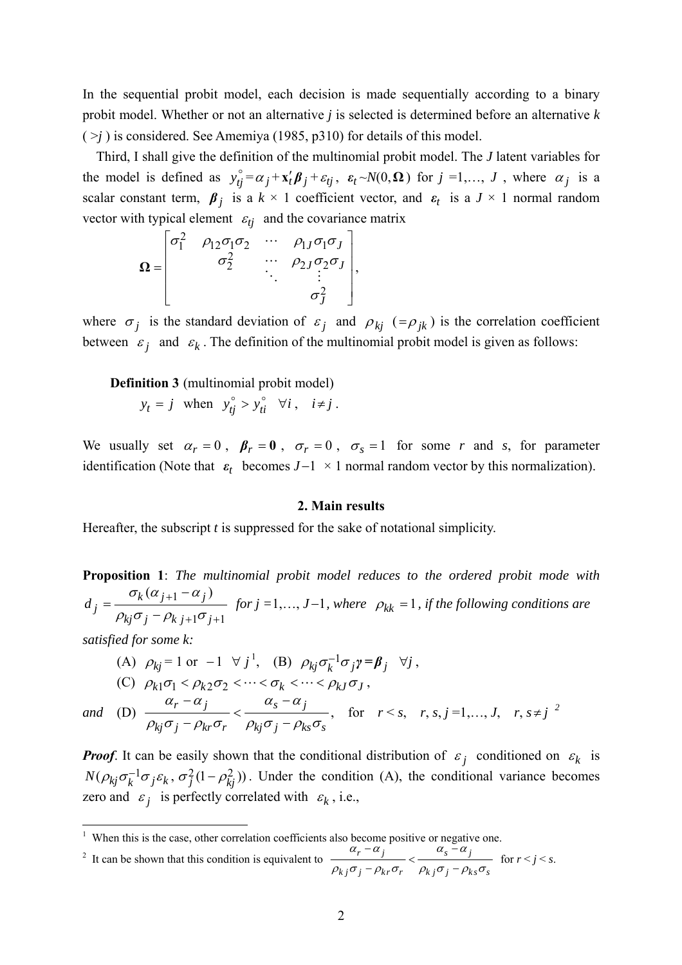In the sequential probit model, each decision is made sequentially according to a binary probit model. Whether or not an alternative *j* is selected is determined before an alternative *k*   $(>\gamma)$  is considered. See Amemiya (1985, p310) for details of this model.

Third, I shall give the definition of the multinomial probit model. The *J* latent variables for the model is defined as  $y_{ij}^{\circ} = \alpha_j + x_t' \beta_j + \varepsilon_{tj}$ ,  $\varepsilon_t \sim N(0, \Omega)$  for  $j = 1, ..., J$ , where  $\alpha_j$  is a scalar constant term,  $\beta_i$  is a  $k \times 1$  coefficient vector, and  $\varepsilon_t$  is a  $J \times 1$  normal random vector with typical element  $\varepsilon_{tj}$  and the covariance matrix

$$
\Omega = \begin{bmatrix} \sigma_1^2 & \rho_{12}\sigma_1\sigma_2 & \cdots & \rho_{1J}\sigma_1\sigma_J \\ \sigma_2^2 & \cdots & \rho_{2J}\sigma_2\sigma_J \\ \vdots & \vdots & \vdots \\ \sigma_J^2 & \cdots & \sigma_J^2 \end{bmatrix},
$$

where  $\sigma_i$  is the standard deviation of  $\varepsilon_i$  and  $\rho_{ki}$  (= $\rho_{ik}$ ) is the correlation coefficient between  $\varepsilon_i$  and  $\varepsilon_k$ . The definition of the multinomial probit model is given as follows:

**Definition 3** (multinomial probit model)  

$$
y_t = j
$$
 when  $y_{tj}^{\circ} > y_{ti}^{\circ} \quad \forall i, \quad i \neq j$ .

We usually set  $\alpha_r = 0$ ,  $\beta_r = 0$ ,  $\sigma_r = 0$ ,  $\sigma_s = 1$  for some *r* and *s*, for parameter identification (Note that  $\varepsilon_t$  becomes  $J-1 \times 1$  normal random vector by this normalization).

#### **2. Main results**

Hereafter, the subscript *t* is suppressed for the sake of notational simplicity.

**Proposition 1**: *The multinomial probit model reduces to the ordered probit mode with*  1  $1^{\sigma}$ j+1  $k(\alpha_{j+1} - \alpha_j)$ *j*  $k_j \sigma_j - \rho_{k \, j+1} \sigma_j$  $d_i = \frac{\sigma_k(\alpha_{j+1} - \alpha)}{n}$  $\rho_{ki}\sigma_{i}-\rho_{k\,\,i+1}\sigma_{i}$ +  $=\frac{\sigma_k(\alpha_{j+1}-\alpha_j)}{\rho_{kj}\sigma_j-\rho_{k,j+1}\sigma_{j+1}}$  for  $j=1,\dots,J-1$ , where  $\rho_{kk}=1$ , if the following conditions are

*satisfied for some k:* 

(A) 
$$
\rho_{kj} = 1 \text{ or } -1 \ \forall j^1
$$
, (B)  $\rho_{kj} \sigma_k^{-1} \sigma_j \gamma = \beta_j \ \forall j$ ,  
(C)  $\rho_{k1} \sigma_1 < \rho_{k2} \sigma_2 < \cdots < \sigma_k < \cdots < \rho_{kJ} \sigma_J$ ,

*and* (D)  $\frac{\alpha_r - \alpha_j}{\alpha_s - \alpha_j}$  $p_{kj}\sigma_j - \rho_{kr}\sigma_r$   $\rho_{kj}\sigma_j - \rho_{ks}\sigma_s$  $\alpha_{r} - \alpha_{i}$   $\alpha_{s} - \alpha$  $\frac{\alpha_r - \alpha_j}{\rho_{ki}\sigma_j - \rho_{kr}\sigma_r} < \frac{\alpha_s - \alpha_j}{\rho_{ki}\sigma_j - \rho_{ks}\sigma_s}$ , for  $r < s$ ,  $r, s, j = 1,..., J$ ,  $r, s \neq j^2$ 

*Proof.* It can be easily shown that the conditional distribution of  $\varepsilon_j$  conditioned on  $\varepsilon_k$  is  $N(\rho_{kj}\sigma_k^{-1}\sigma_j\varepsilon_k, \sigma_j^2(1-\rho_{kj}^2))$ . Under the condition (A), the conditional variance becomes zero and  $\varepsilon_i$  is perfectly correlated with  $\varepsilon_k$ , i.e.,

<sup>2</sup> It can be shown that this condition is equivalent to 
$$
\frac{\alpha_r - \alpha_j}{\rho_{kj}\sigma_j - \rho_{kr}\sigma_r} < \frac{\alpha_s - \alpha_j}{\rho_{kj}\sigma_j - \rho_{ks}\sigma_s}
$$
 for  $r < j < s$ .

 1 When this is the case, other correlation coefficients also become positive or negative one.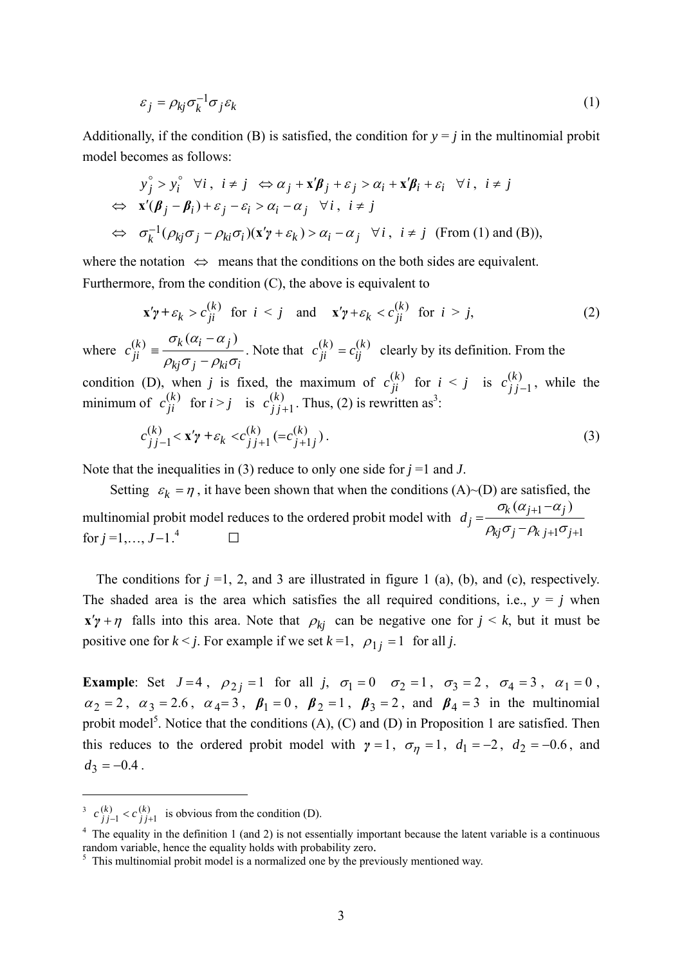$$
\varepsilon_j = \rho_{kj} \sigma_k^{-1} \sigma_j \varepsilon_k \tag{1}
$$

Additionally, if the condition (B) is satisfied, the condition for  $y = i$  in the multinomial probit model becomes as follows:

$$
y_j^{\circ} > y_i^{\circ} \quad \forall i, \quad i \neq j \quad \Leftrightarrow \alpha_j + \mathbf{x'}\boldsymbol{\beta}_j + \varepsilon_j > \alpha_i + \mathbf{x'}\boldsymbol{\beta}_i + \varepsilon_i \quad \forall i, \quad i \neq j
$$
  
\n
$$
\Leftrightarrow \quad \mathbf{x'}(\boldsymbol{\beta}_j - \boldsymbol{\beta}_i) + \varepsilon_j - \varepsilon_i > \alpha_i - \alpha_j \quad \forall i, \quad i \neq j
$$
  
\n
$$
\Leftrightarrow \quad \sigma_k^{-1}(\rho_{kj}\sigma_j - \rho_{ki}\sigma_i)(\mathbf{x'}\boldsymbol{\gamma} + \varepsilon_k) > \alpha_i - \alpha_j \quad \forall i, \quad i \neq j \quad \text{(From (1) and (B))},
$$

where the notation  $\Leftrightarrow$  means that the conditions on the both sides are equivalent. Furthermore, from the condition (C), the above is equivalent to

$$
\mathbf{x}'\mathbf{y} + \varepsilon_k > c_{ji}^{(k)} \quad \text{for} \quad i < j \quad \text{and} \quad \mathbf{x}'\mathbf{y} + \varepsilon_k < c_{ji}^{(k)} \quad \text{for} \quad i > j,\tag{2}
$$

where  $c_{ii}^{(k)} \equiv \frac{\sigma_k (\alpha_i - \alpha_j)}{k}$  $c_{ji}^{(k)} \equiv \frac{\sigma_k (\alpha_i - \alpha_j)}{\rho_{kj} \sigma_j - \rho_{ki} \sigma_i}$  $=\frac{\sigma_k(\alpha_i-\alpha_j)}{\rho_{ki}\sigma_j-\rho_{ki}\sigma_i}$ . Note that  $c_{ji}^{(k)}=c_{ij}^{(k)}$  clearly by its definition. From the

condition (D), when *j* is fixed, the maximum of  $c_{ji}^{(k)}$  for  $i < j$  is  $c_{jj-1}^{(k)}$  $c_{j,j-1}^{(k)}$ , while the minimum of  $c_{ji}^{(k)}$  for  $i > j$  is  $c_{j,j+1}^{(k)}$  $c^{(k)}_{j,j+1}$ . Thus, (2) is rewritten as<sup>3</sup>:

$$
c_{j,j-1}^{(k)} < \mathbf{x}'\mathbf{y} + \varepsilon_k < c_{j,j+1}^{(k)} (= c_{j+1,j}^{(k)}).
$$
\n(3)

Note that the inequalities in (3) reduce to only one side for *j* =1 and *J*.

Setting  $\varepsilon_k = \eta$ , it have been shown that when the conditions (A)~(D) are satisfied, the multinomial probit model reduces to the ordered probit model with  $d_i = \frac{\sigma_k(\alpha_{j+1})}{\sigma_k(\alpha_j)}$  $1\sigma_{j+1}$  $\kappa(\alpha_{j+1} - \alpha_j)$ *j*  $\partial_{kj} \sigma_j - \rho_{k \; j+1} \sigma_j$  $d_i = \frac{\sigma_k(\alpha_{j+1} - \alpha)}{n}$  $\rho_{ki}\sigma_i$  –  $\rho_{k\,\,i+1}\sigma$ + multinomial probit model reduces to the ordered probit model with  $d_j = \frac{\sigma_k (\alpha_{j+1} - \alpha_j)}{\rho_{kj} \sigma_j - \rho_{k} j + 1}$  for  $j = 1, ..., J-1$ .<sup>4</sup> for  $j = 1, ..., J-1$ .<sup>4</sup>

The conditions for  $j = 1, 2$ , and 3 are illustrated in figure 1 (a), (b), and (c), respectively. The shaded area is the area which satisfies the all required conditions, i.e.,  $y = j$  when **x**<sup>'</sup> $\gamma$  +  $\eta$  falls into this area. Note that  $\rho_{ki}$  can be negative one for  $j \leq k$ , but it must be positive one for  $k < j$ . For example if we set  $k = 1$ ,  $\rho_{1j} = 1$  for all *j*.

**Example**: Set  $J=4$ ,  $\rho_{2i} = 1$  for all *j*,  $\sigma_1 = 0$   $\sigma_2 = 1$ ,  $\sigma_3 = 2$ ,  $\sigma_4 = 3$ ,  $\alpha_1 = 0$ ,  $\alpha_2 = 2$ ,  $\alpha_3 = 2.6$ ,  $\alpha_4 = 3$ ,  $\beta_1 = 0$ ,  $\beta_2 = 1$ ,  $\beta_3 = 2$ , and  $\beta_4 = 3$  in the multinomial probit model<sup>5</sup>. Notice that the conditions  $(A)$ ,  $(C)$  and  $(D)$  in Proposition 1 are satisfied. Then this reduces to the ordered probit model with  $\gamma = 1$ ,  $\sigma_{\eta} = 1$ ,  $d_1 = -2$ ,  $d_2 = -0.6$ , and  $d_3 = -0.4$ .

 $\overline{a}$ 

<sup>3</sup>  $(k)$   $(a(k))$  $1 - \epsilon$  j j+1  $c^{(k)}$ <sub>*j*j-1</sub> <  $c^{(k)}$ <sub>*j*j+1</sub> is obvious from the condition (D).

<sup>&</sup>lt;sup>4</sup> The equality in the definition 1 (and 2) is not essentially important because the latent variable is a continuous random variable, hence the equality holds with probability zero.

 $5$  This multinomial probit model is a normalized one by the previously mentioned way.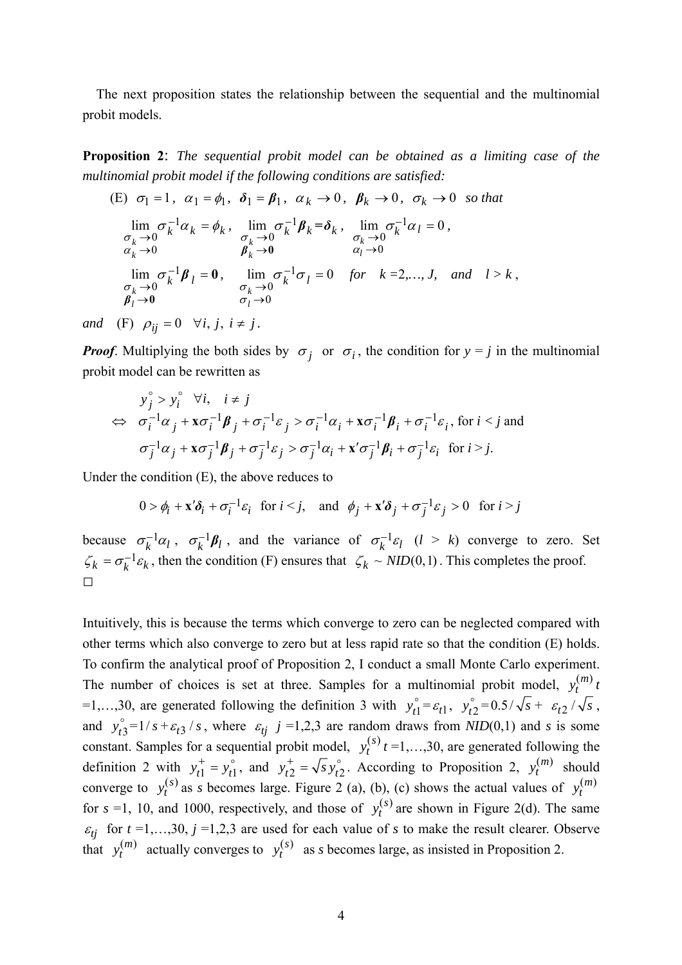The next proposition states the relationship between the sequential and the multinomial probit models.

**Proposition 2**: *The sequential probit model can be obtained as a limiting case of the multinomial probit model if the following conditions are satisfied:* 

(E) 
$$
\sigma_1 = 1
$$
,  $\alpha_1 = \phi_1$ ,  $\delta_1 = \beta_1$ ,  $\alpha_k \to 0$ ,  $\beta_k \to 0$ ,  $\sigma_k \to 0$  so that  
\n
$$
\lim_{\substack{\sigma_k \to 0 \\ \alpha_k \to 0}} \sigma_k^{-1} \alpha_k = \phi_k, \quad \lim_{\substack{\sigma_k \to 0 \\ \beta_k \to 0}} \sigma_k^{-1} \beta_k = \delta_k, \quad \lim_{\substack{\sigma_k \to 0 \\ \alpha_l \to 0}} \sigma_k^{-1} \alpha_l = 0,
$$
\n
$$
\lim_{\substack{\sigma_k \to 0 \\ \sigma_k \to 0}} \sigma_k^{-1} \beta_l = 0, \quad \lim_{\substack{\sigma_k \to 0 \\ \sigma_l \to 0}} \sigma_k^{-1} \sigma_l = 0 \quad \text{for} \quad k = 2, ..., J, \quad \text{and} \quad l > k,
$$

*and* (F)  $\rho_{ij} = 0 \quad \forall i, j, i \neq j$ .

*Proof.* Multiplying the both sides by  $\sigma_i$  or  $\sigma_i$ , the condition for  $y = i$  in the multinomial probit model can be rewritten as

$$
y_j^{\circ} > y_i^{\circ} \quad \forall i, \quad i \neq j
$$
  
\n
$$
\Leftrightarrow \quad \sigma_i^{-1} \alpha_j + x \sigma_i^{-1} \beta_j + \sigma_i^{-1} \varepsilon_j > \sigma_i^{-1} \alpha_i + x \sigma_i^{-1} \beta_i + \sigma_i^{-1} \varepsilon_i, \text{ for } i < j \text{ and}
$$
  
\n
$$
\sigma_j^{-1} \alpha_j + x \sigma_j^{-1} \beta_j + \sigma_j^{-1} \varepsilon_j > \sigma_j^{-1} \alpha_i + x' \sigma_j^{-1} \beta_i + \sigma_j^{-1} \varepsilon_i \text{ for } i > j.
$$

Under the condition (E), the above reduces to

$$
0 > \phi_i + \mathbf{x}' \delta_i + \sigma_i^{-1} \varepsilon_i \quad \text{for } i < j, \quad \text{and} \quad \phi_j + \mathbf{x}' \delta_j + \sigma_j^{-1} \varepsilon_j > 0 \quad \text{for } i > j
$$

because  $\sigma_k^{-1} \alpha_l$ ,  $\sigma_k^{-1} \beta_l$ , and the variance of  $\sigma_k^{-1} \varepsilon_l$   $(l > k)$  converge to zero. Set  $\zeta_k = \sigma_k^{-1} \varepsilon_k$ , then the condition (F) ensures that  $\zeta_k \sim NID(0,1)$ . This completes the proof.  $\Box$ 

Intuitively, this is because the terms which converge to zero can be neglected compared with other terms which also converge to zero but at less rapid rate so that the condition (E) holds. To confirm the analytical proof of Proposition 2, I conduct a small Monte Carlo experiment. The number of choices is set at three. Samples for a multinomial probit model,  $y_t^{(m)} t$ =1,...,30, are generated following the definition 3 with  $y_{t1}^{\circ} = \varepsilon_{t1}$ ,  $y_{t2}^{\circ} = 0.5/\sqrt{s} + \varepsilon_{t2}/\sqrt{s}$ , and  $y_{t3}^{\circ} = 1/s + \varepsilon_{t3} / s$ , where  $\varepsilon_{tj}$   $j = 1,2,3$  are random draws from *NID*(0,1) and *s* is some constant. Samples for a sequential probit model,  $y_t^{(s)}$  *t* =1,…,30, are generated following the definition 2 with  $y_{t1}^+ = y_{t1}^{\circ}$ , and  $y_{t2}^+ = \sqrt{s} y_{t2}^{\circ}$ . According to Proposition 2,  $y_t^{(m)}$  should converge to  $y_t^{(s)}$  as *s* becomes large. Figure 2 (a), (b), (c) shows the actual values of  $y_t^{(m)}$ for  $s = 1$ , 10, and 1000, respectively, and those of  $y_t^{(s)}$  are shown in Figure 2(d). The same  $\varepsilon_{tj}$  for  $t = 1,...,30$ ,  $j = 1,2,3$  are used for each value of *s* to make the result clearer. Observe that  $y_t^{(m)}$  actually converges to  $y_t^{(s)}$  as *s* becomes large, as insisted in Proposition 2.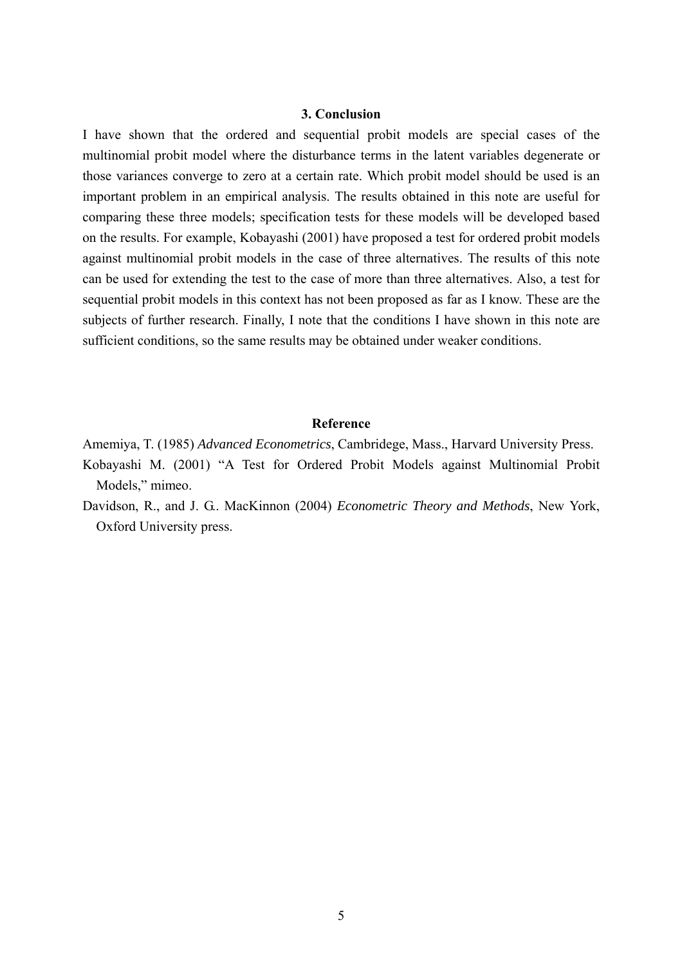## **3. Conclusion**

I have shown that the ordered and sequential probit models are special cases of the multinomial probit model where the disturbance terms in the latent variables degenerate or those variances converge to zero at a certain rate. Which probit model should be used is an important problem in an empirical analysis. The results obtained in this note are useful for comparing these three models; specification tests for these models will be developed based on the results. For example, Kobayashi (2001) have proposed a test for ordered probit models against multinomial probit models in the case of three alternatives. The results of this note can be used for extending the test to the case of more than three alternatives. Also, a test for sequential probit models in this context has not been proposed as far as I know. These are the subjects of further research. Finally, I note that the conditions I have shown in this note are sufficient conditions, so the same results may be obtained under weaker conditions.

## **Reference**

- Amemiya, T. (1985) *Advanced Econometrics*, Cambridege, Mass., Harvard University Press.
- Kobayashi M. (2001) "A Test for Ordered Probit Models against Multinomial Probit Models," mimeo.
- Davidson, R., and J. G.. MacKinnon (2004) *Econometric Theory and Methods*, New York, Oxford University press.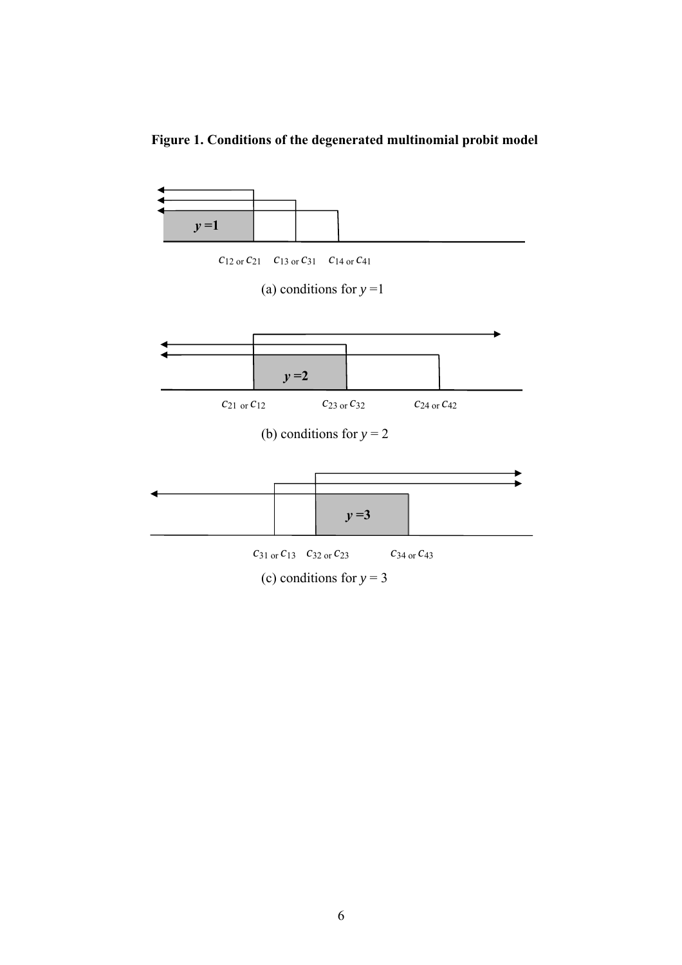